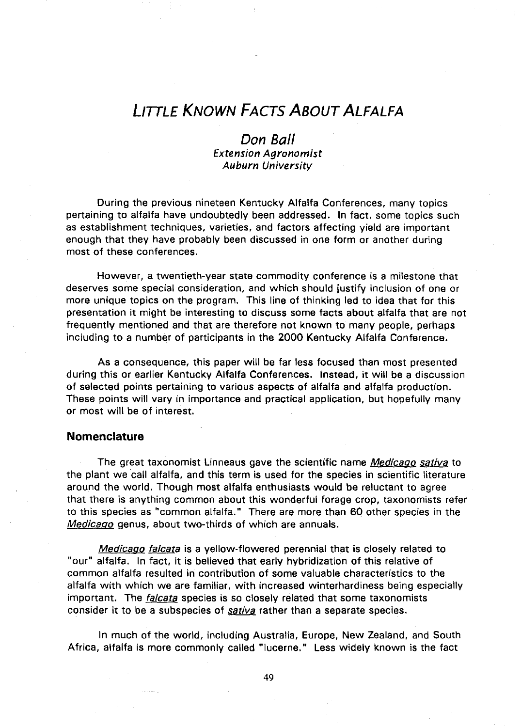# **LITTLE KNOWN FACTS ABOUT ALFALFA**

# **Don Ball**  *Extension Agronomist Auburn University*

During the previous nineteen Kentucky Alfalfa Conferences, many topics pertaining to alfalfa have undoubtedly been addressed. In fact, some topics such as establishment techniques, varieties, and factors affecting yield are important enough that they have probably been discussed in one form or another during most of these conferences.

However, a twentieth-year state commodity conference is a milestone that deserves some special consideration, and which should justify inclusion of one or more unique topics on the program. This line of thinking led to idea that for this presentation it might be interesting to discuss some facts about alfalfa that are not frequently mentioned and that are therefore not known to many people, perhaps including to a number of participants in the 2000 Kentucky Alfalfa Conference.

As a consequence, this paper will be far less focused than most presented during this or earlier Kentucky Alfalfa Conferences. Instead, it will be a discussion of selected points pertaining to various aspects of alfalfa and alfalfa production. These points will vary in importance and practical application, but hopefully many or most will be of interest.

### **Nomenclature**

The great taxonomist Linneaus gave the scientific name *Medicago sativa* to the plant we call alfalfa, and this term is used for the species in scientific literature around the world. Though most alfalfa enthusiasts would be reluctant to agree that there is anything common about this wonderful forage crop, taxonomists refer to this species as "common alfalfa." There are more than 60 other species in the Medicago genus, about two-thirds of which are annuals.

Medicago falcata is a yellow-flowered perennial that is closely related to "our" alfalfa. In fact, it is believed that early hybridization of this relative of common alfalfa resulted in contribution of some valuable characteristics to the alfalfa with which we are familiar, with increased winterhardiness being especially important. The *falcata* species is so closely related that some taxonomists consider it to be a subspecies of sativa rather than a separate species.

In much of the world, including Australia, Europe, New Zealand, and South Africa, alfalfa is more commonly called "lucerne." Less widely known is the fact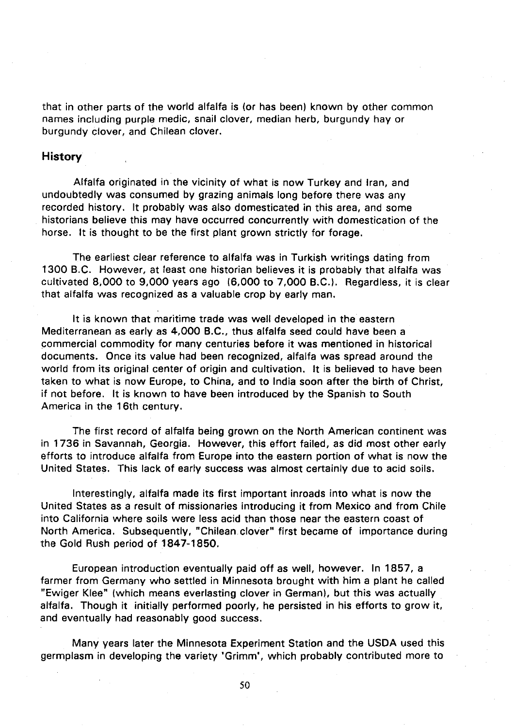that in other parts of the world alfalfa is (or has been) known by other common names including purple medic, snail clover, median herb, burgundy hay or burgundy clover, and Chilean clover.

## **History**

Alfalfa originated in the vicinity of what is now Turkey and Iran, and undoubtedly was consumed by grazing animals long before there was any recorded history. It probably was also domesticated in this area, and some historians believe this may have occurred concurrently with domestication of the horse. It is thought to be the first plant grown strictly for forage.

The earliest clear reference to alfalfa was in Turkish writings dating from 1300 B.C. However, at least one historian believes it is probably that alfalfa was cultivated 8,000 to 9,000 years ago (6,000 to 7,000 B.C.). Regardless, it is clear that alfalfa was recognized as a valuable crop by early man.

It is known that maritime trade was well developed in the eastern Mediterranean as early as 4,000 B.C., thus alfalfa seed could have been a commercial commodity for many centuries before it was mentioned in historical documents. Once its value had been recognized, alfalfa was spread around the world from its original center of origin and cultivation. It is believed to have been taken to what is now Europe, to China, and to India soon after the birth of Christ, if not before. It is known to have been introduced by the Spanish to South America in the 16th century.

The first record of alfalfa being grown on the North American continent was in 1736 in Savannah, Georgia. However, this effort failed, as did most other early efforts to introduce alfalfa from Europe into the eastern portion of what is now the United States. This lack of early success was almost certainly due to acid soils.

Interestingly, alfalfa made its first important inroads into what is now the United States as a result of missionaries introducing it from Mexico and from Chile into California where soils were less acid than those near the eastern coast of North America. Subsequently, "Chilean. clover" first became of importance during the Gold Rush period of 1847-1850.

European introduction eventually paid off as well, however. In 1857, a farmer from Germany who settled in Minnesota brought with him a plant he called "Ewiger Klee" (which means everlasting clover in German), but this was actually alfalfa. Though it initially performed poorly, he persisted in his efforts to grow it, and eventually had reasonably good success.

Many years later the Minnesota Experiment Station and the USDA used this germplasm in developing the variety 'Grimm', which probably contributed more to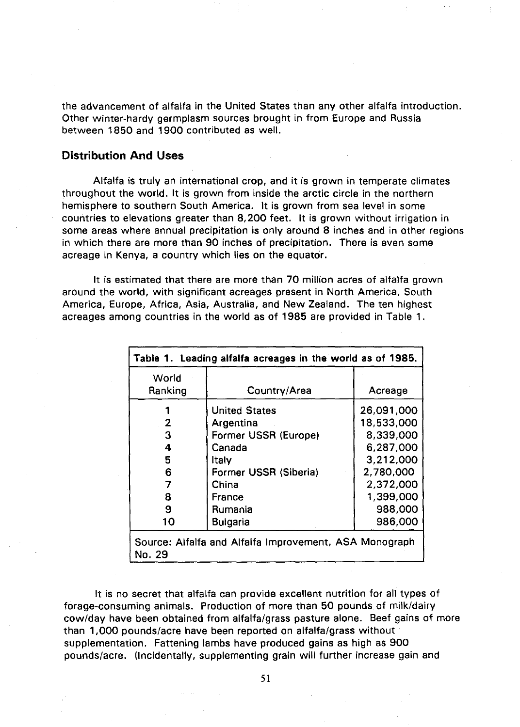the advancement of alfalfa in the United States than any other alfalfa introduction. Other winter-hardy germplasm sources brought in from Europe and Russia between 1850 and 1900 contributed as well.

# Distribution And Uses

Alfalfa is truly an international crop, and it is grown in temperate climates throughout the world. It is grown from inside the arctic circle in the northern hemisphere to southern South America. It is grown from sea level in some countries to elevations greater than 8,200 feet. It is grown without irrigation in some areas where annual precipitation is only around 8 inches and in other regions in which there are more than 90 inches of precipitation. There is even some acreage in Kenya, a country which lies on the equator.

It is estimated that there are more than 70 million acres of alfalfa grown around the world, with significant acreages present in North America, South America, Europe, Africa, Asia, Australia, and New Zealand. The ten highest acreages among countries in the world as of 1985 are provided in Table 1.

| World   |                       |            |
|---------|-----------------------|------------|
| Ranking | Country/Area          | Acreage    |
|         | <b>United States</b>  | 26,091,000 |
| 2       | Argentina             | 18,533,000 |
| 3       | Former USSR (Europe)  | 8,339,000  |
| 4       | Canada                | 6,287,000  |
| 5       | Italy                 | 3,212,000  |
| 6       | Former USSR (Siberia) | 2,780,000  |
| 7       | China                 | 2,372,000  |
| 8       | France                | 1,399,000  |
| 9       | Rumania               | 988,000    |
| 10      | <b>Bulgaria</b>       | 986,000    |

It is no secret that alfalfa can provide excellent nutrition for all types of forage-consuming animals. Production of more than 50 pounds of milk/dairy cow/day have been obtained from alfalfa/grass pasture alone. Beef gains of more than 1,000 pounds/acre have been reported on alfalfa/grass without supplementation. Fattening lambs have produced gains as high as 900 pounds/acre. (Incidentally, supplementing grain will further increase gain and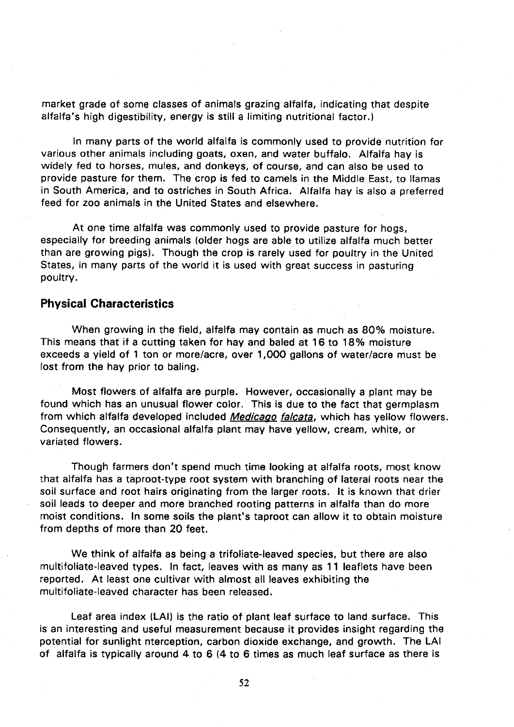market grade of some classes of animals grazing alfalfa, indicating that despite alfalfa's high digestibility, energy is still a limiting nutritional factor.)

In many parts of the world alfalfa is commonly used to provide nutrition for various other animals including goats, oxen, and water buffalo. Alfalfa hay is widely fed to horses, mules, and donkeys, of course, and can also be used to provide pasture for them. The crop is fed to camels in the Middle East, to llamas in South America, and to ostriches in South Africa. Alfalfa hay is also a preferred feed for zoo animals in the United States and elsewhere.

At one time alfalfa was commonly used to provide pasture for hogs, especially for breeding animals (older hogs are able to utilize alfalfa much better than are growing pigs). Though the crop is rarely used for poultry in the United States, in many parts of the world it is used with great success in pasturing poultry.

## **Physical Characteristics**

When growing in the field, alfalfa may contain as much as 80% moisture. This means that if a cutting taken for hay and baled at 16 to 18% moisture exceeds a yield of 1 ton or more/acre, over 1,000 gallons of water/acre must be lost from the hay prior to baling.

Most flowers of alfalfa are purple. However, occasionally a plant may be found which has an unusual flower color. This is due to the fact that germplasm from which alfalfa developed included *Medicago falcata*, which has yellow flowers. Consequently, an occasional alfalfa plant may have yellow, cream, white, or variated flowers.

Though farmers don't spend much time looking at alfalfa roots, most know that alfalfa has a taproot-type root system with branching of lateral roots near the soil surface and root hairs originating from the larger roots. It is known that drier soil leads to deeper and more branched rooting patterns in alfalfa than do more moist conditions. In some soils the plant's taproot can allow it to obtain moisture from depths of more than 20 feet.

We think of alfalfa as being a trifoliate-leaved species, but there are also multifoliate-leaved types. In fact, leaves with as many as 11 leaflets have been reported. At least one cultivar with almost all leaves exhibiting the multifoliate-leaved character has been released.

Leaf area index (LAI) is the ratio of plant leaf surface to land surface. This is an interesting and useful measurement because it provides insight regarding the potential for sunlight nterception, carbon dioxide exchange, and growth. The LAI of alfalfa is typically around 4 to 6 (4 to 6 times as much leaf surface as there is

52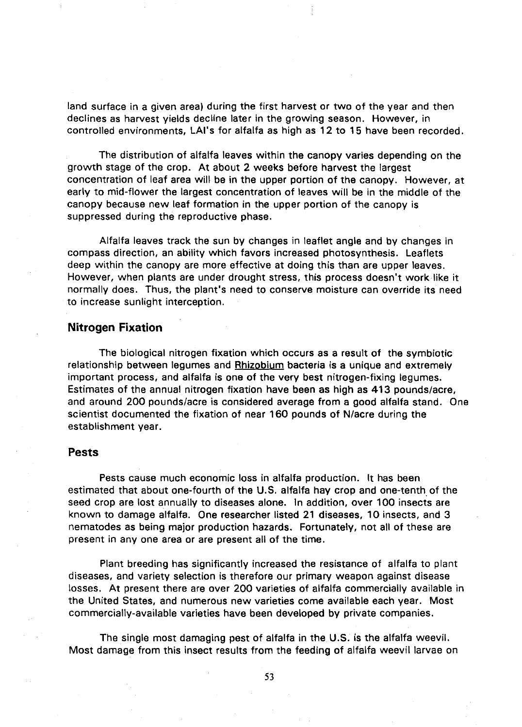land surface in a given area) during the first harvest or two of the year and then declines as harvest yields decline later in the growing season. However, in controlled environments, LAI's for alfalfa as high as 12 to 15 have been recorded.

The distribution of alfalfa leaves within the canopy varies depending on the growth stage of the crop. At about 2 weeks before harvest the largest concentration of leaf area will be in the upper portion of the canopy. However, at early to mid-flower the largest concentration of leaves will be in the middle of the canopy because new leaf formation in the upper portion of the canopy is suppressed during the reproductive phase.

Alfalfa leaves track the sun by changes in leaflet angle and by changes in compass direction, an ability which favors increased photosynthesis. Leaflets deep within the canopy are more effective at doing this than are upper leaves. However, when plants are under drought stress, this process doesn't work like it normally does. Thus, the plant's need to conserve moisture can override its need to increase sunlight interception.

#### **Nitrogen Fixation**

The biological nitrogen fixation which occurs as a result of the symbiotic relationship between legumes and Rhizobium bacteria is a unique and extremely important process, and alfalfa is one of the very best nitrogen-fixing legumes. Estimates of the annual nitrogen fixation have been as high as 413 pounds/acre, and around 200 pounds/acre is considered average from a good alfalfa stand. One scientist documented the fixation of near 160 pounds of N/acre during the establishment year.

#### **Pests**

Pests cause much economic loss in alfalfa production. It has been estimated that about one-fourth of the U.S. alfalfa hay crop and one-tenth of the seed crop are lost annually to diseases alone. In addition, over 100 insects are known to damage alfalfa. One researcher listed 21 diseases, 10 insects, and 3 nematodes as being major production hazards. Fortunately, not all of these are present in any one area or are present all of the time.

Plant breeding has significantly increased the resistance of alfalfa to plant diseases, and variety selection is therefore our primary weapon against disease losses. At present there are over 200 varieties of alfalfa commercially available in the United States, and numerous new varieties come available each year. Most commercially-available varieties have been developed by private companies.

The single most damaging pest of alfalfa in the U.S. is the alfalfa weevil. Most damage from this insect results from the feeding of alfalfa weevil larvae on

53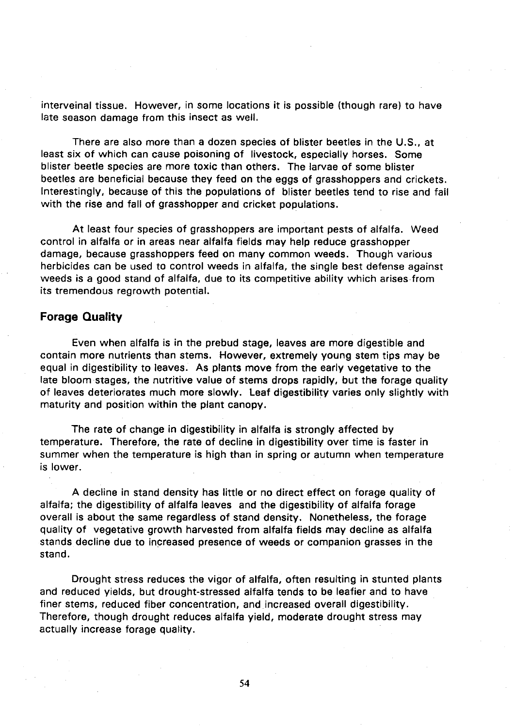interveinal tissue. However, in some locations it is possible (though rare) to have late season damage from this insect as well.

There are also more than a dozen species of blister beetles in the U.S., at least six of which can cause poisoning of livestock, especially horses. Some blister beetle species are more toxic than others. The larvae of some blister beetles are beneficial because they feed on the eggs of grasshoppers and crickets. Interestingly, because of this the populations of blister beetles tend to rise and fall with the rise and fall of grasshopper and cricket populations.

At least four species of grasshoppers are important pests of alfalfa. Weed control in alfalfa or in areas near alfalfa fields may help reduce grasshopper damage, because grasshoppers feed on many common weeds. Though various herbicides can be used to control weeds in alfalfa, the single best defense against weeds is a good stand of alfalfa, due to its competitive ability which arises.from its tremendous regrowth potential.

# **Forage Quality**

Even when alfalfa is in the prebud stage, leaves are more digestible and contain more nutrients than stems. However, extremely young stem tips may be equal in digestibility to leaves. As plants move from the early vegetative to the late bloom stages, the nutritive value of stems drops rapidly, but the forage quality of leaves deteriorates much more slowly. Leaf digestibility varies only slightly with maturity and position within the plant canopy.

The rate of change in digestibility in alfalfa is strongly affected by temperature. Therefore, the rate of decline in digestibility over time is faster in summer when the temperature is high than in spring or autumn when temperature is lower.

A decline in stand density has little or no direct effect on forage quality of alfalfa; the digestibility of alfalfa leaves and the digestibility of alfalfa forage overall is about the same regardless of stand density. Nonetheless, the forage quality of vegetative growth harvested from alfalfa fields may decline as alfalfa stands decline due to increased presence of weeds or companion grasses in the stand.

Drought stress reduces the vigor of alfalfa, often resulting in stunted plants and reduced yields, but drought-stressed alfalfa tends to be leafier and to have finer stems, reduced fiber concentration, and increased overall digestibility. Therefore, though drought reduces alfalfa yield, moderate drought stress may actually increase forage quality.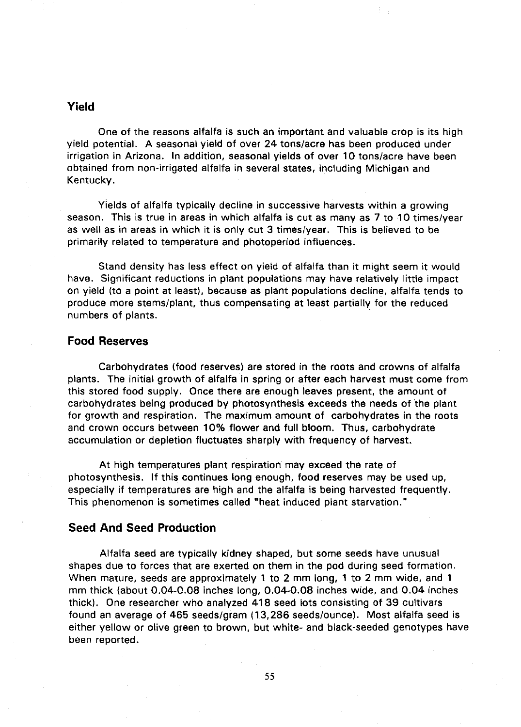# **Yield**

One of the reasons alfalfa is such an important and valuable crop is its high yield potential. A seasonal yield of over 24 tons/acre has been produced under irrigation in Arizona. In addition, seasonal yields of over 10 tons/acre have been obtained from non-irrigated alfalfa in several states, including Michigan and Kentucky.

Yields of alfalfa typically decline in successive harvests within a growing season. This is true in areas in which alfalfa is cut as many as 7 to 10 times/year as well as in areas in which it is only cut 3 times/year. This is believed to be primarily related to temperature and photoperiod influences.

Stand density has less effect on yield of alfalfa than it might seem it would have. Significant reductions in plant populations may have relatively little impact on yield (to a point at least), because as plant populations decline, alfalfa tends to produce more stems/plant, thus compensating at least partially for the reduced numbers of plants.

# **Food Reserves**

Carbohydrates (food reserves) are stored in the roots and crowns of alfalfa plants. The initial growth of alfalfa in spring or after each harvest must come from this stored food supply. Once there are enough leaves present, the amount of carbohydrates being produced by photosynthesis exceeds the needs of the plant for growth and respiration. The maximum amount of carbohydrates in the roots and crown occurs between 10% flower and full bloom. Thus, carbohydrate accumulation or depletion fluctuates sharply with frequency of harvest.

At high temperatures plant respiration may exceed the rate of photosynthesis. If this continues long enough, food reserves may be used up, especially if temperatures are high and the alfalfa is being harvested frequently. This phenomenon is sometimes called "heat induced plant starvation."

# **Seed And Seed Production**

Alfalfa seed are typically kidney shaped, but some seeds have unusual shapes due to forces that are exerted on them in the pod during seed formation. When mature, seeds are approximately 1 to 2 mm long, 1 to 2 mm wide, and 1 mm thick (about 0.04-0.08 inches long, 0.04-0.08 inches wide, and 0.04 inches thick). One researcher who analyzed 418 seed lots consisting of 39 cultivars found an average of 465 seeds/gram ( 13,286 seeds/ounce). Most alfalfa seed is either yellow or olive green to brown, but white- and black-seeded genotypes have been reported.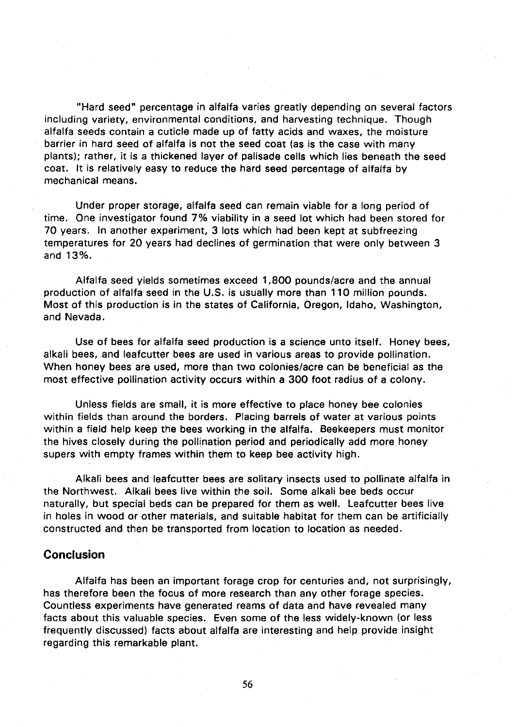"Hard seed" percentage in alfalfa varies greatly depending on several factors including variety, environmental conditions, and harvesting technique. Though alfalfa seeds contain a cuticle made up of fatty acids and waxes, the moisture barrier in hard seed of alfalfa is not the seed coat (as is the case with many plants); rather, it is a thickened layer of palisade cells which lies beneath the seed coat. It is relatively easy to reduce the hard seed percentage of alfalfa by mechanical means.

Under proper storage, alfalfa seed can remain viable for a long period of time. One investigator found 7% viability in a seed lot which had been stored for 70 years. In another experiment, 3 lots which had been kept at subfreezing temperatures for 20 years had declines of germination that were only between 3 and 13%.

Alfalfa seed yields sometimes exceed 1 ,800 pounds/acre and the annual production of alfalfa seed in the U.S. is usually more than 110 million pounds. Most of this production is in the states of California, Oregon, Idaho, Washington, and Nevada.

Use of bees for alfalfa seed production is a science unto itself. Honey bees, alkali bees, and leafcutter bees are used in various areas to provide pollination. When honey bees are used, more than two colonies/acre can be beneficial as the most effective pollination activity occurs within a 300 foot radius of a colony.

Unless fields are small, it is more effective to place honey bee colonies within fields than around the borders. Placing barrels of water at various points within a field help keep the bees working in the alfalfa. Beekeepers must monitor the hives closely during the pollination period and periodically add more honey supers with empty frames within them to keep bee activity high.

Alkali bees and leafcutter bees are solitary insects used to pollinate alfalfa in the Northwest. Alkali bees live within the soil. Some alkali bee beds occur naturally, but special beds can be prepared for them as well. Leafcutter bees live in holes in wood or other materials, and suitable habitat for them can be artificially constructed and then be transported from location to location as needed.

# **Conclusion**

Alfalfa has been an important forage crop for centuries and, not surprisingly, has therefore been the focus of more research than any other forage species. Countless experiments have generated reams of data and have revealed many facts about this valuable species. Even some of the less widely-known (or less frequently discussed) facts about alfalfa are interesting and help provide insight regarding this remarkable plant.